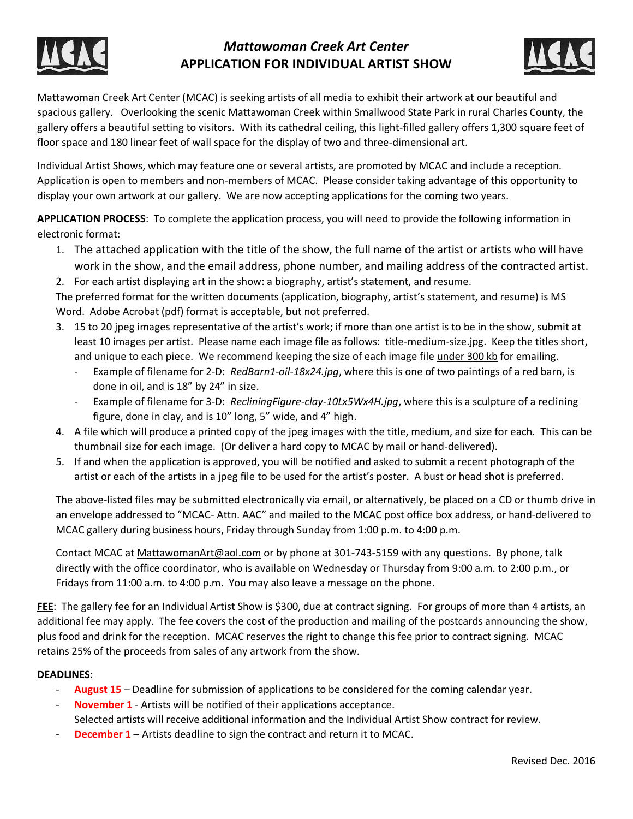

# *Mattawoman Creek Art Center* **APPLICATION FOR INDIVIDUAL ARTIST SHOW**



Mattawoman Creek Art Center (MCAC) is seeking artists of all media to exhibit their artwork at our beautiful and spacious gallery. Overlooking the scenic Mattawoman Creek within Smallwood State Park in rural Charles County, the gallery offers a beautiful setting to visitors. With its cathedral ceiling, this light-filled gallery offers 1,300 square feet of floor space and 180 linear feet of wall space for the display of two and three-dimensional art.

Individual Artist Shows, which may feature one or several artists, are promoted by MCAC and include a reception. Application is open to members and non-members of MCAC. Please consider taking advantage of this opportunity to display your own artwork at our gallery. We are now accepting applications for the coming two years.

**APPLICATION PROCESS**: To complete the application process, you will need to provide the following information in electronic format:

- 1. The attached application with the title of the show, the full name of the artist or artists who will have work in the show, and the email address, phone number, and mailing address of the contracted artist.
- 2. For each artist displaying art in the show: a biography, artist's statement, and resume.

The preferred format for the written documents (application, biography, artist's statement, and resume) is MS Word. Adobe Acrobat (pdf) format is acceptable, but not preferred.

- 3. 15 to 20 jpeg images representative of the artist's work; if more than one artist is to be in the show, submit at least 10 images per artist. Please name each image file as follows: title-medium-size.jpg. Keep the titles short, and unique to each piece. We recommend keeping the size of each image file under 300 kb for emailing.
	- Example of filename for 2-D: *RedBarn1-oil-18x24.jpg*, where this is one of two paintings of a red barn, is done in oil, and is 18" by 24" in size.
	- Example of filename for 3-D: *RecliningFigure-clay-10Lx5Wx4H.jpg*, where this is a sculpture of a reclining figure, done in clay, and is 10" long, 5" wide, and 4" high.
- 4. A file which will produce a printed copy of the jpeg images with the title, medium, and size for each. This can be thumbnail size for each image. (Or deliver a hard copy to MCAC by mail or hand-delivered).
- 5. If and when the application is approved, you will be notified and asked to submit a recent photograph of the artist or each of the artists in a jpeg file to be used for the artist's poster. A bust or head shot is preferred.

The above-listed files may be submitted electronically via email, or alternatively, be placed on a CD or thumb drive in an envelope addressed to "MCAC- Attn. AAC" and mailed to the MCAC post office box address, or hand-delivered to MCAC gallery during business hours, Friday through Sunday from 1:00 p.m. to 4:00 p.m.

Contact MCAC at MattawomanArt@aol.com or by phone at 301-743-5159 with any questions. By phone, talk directly with the office coordinator, who is available on Wednesday or Thursday from 9:00 a.m. to 2:00 p.m., or Fridays from 11:00 a.m. to 4:00 p.m. You may also leave a message on the phone.

**FEE**: The gallery fee for an Individual Artist Show is \$300, due at contract signing. For groups of more than 4 artists, an additional fee may apply. The fee covers the cost of the production and mailing of the postcards announcing the show, plus food and drink for the reception. MCAC reserves the right to change this fee prior to contract signing. MCAC retains 25% of the proceeds from sales of any artwork from the show.

#### **DEADLINES**:

- August 15 Deadline for submission of applications to be considered for the coming calendar year.
- **November 1** Artists will be notified of their applications acceptance.
- Selected artists will receive additional information and the Individual Artist Show contract for review.
- **December 1** Artists deadline to sign the contract and return it to MCAC.